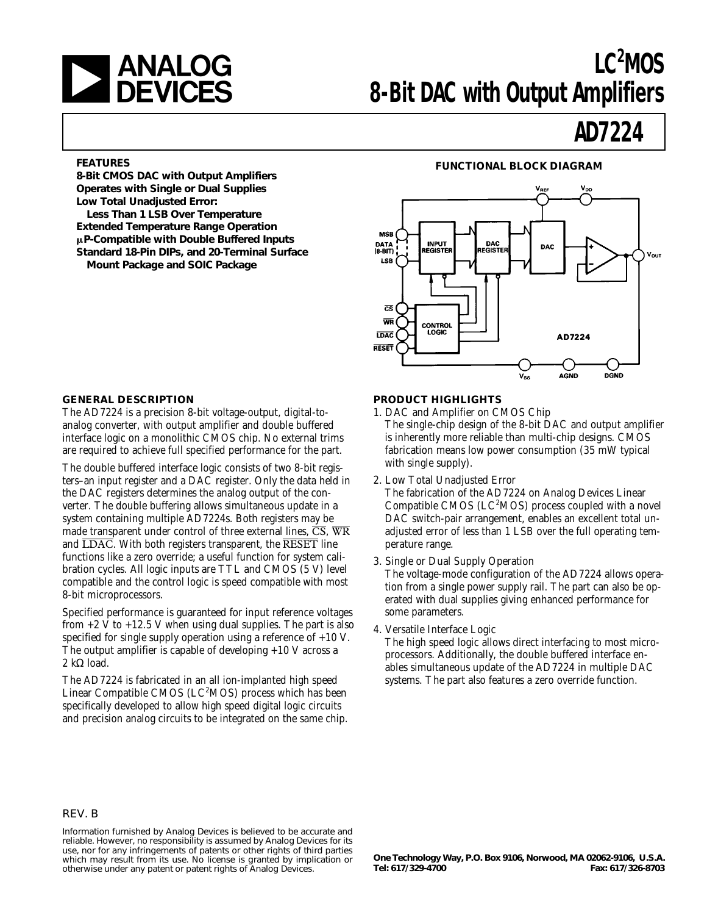

# LC<sup>2</sup>MOS **8-Bit DAC with Output Amplifiers**

# **AD7224**

**8-Bit CMOS DAC with Output Amplifiers Operates with Single or Dual Supplies Low Total Unadjusted Error:**

**Less Than 1 LSB Over Temperature Extended Temperature Range Operation** m**P-Compatible with Double Buffered Inputs Standard 18-Pin DIPs, and 20-Terminal Surface Mount Package and SOIC Package**

# **FEATURES FUNCTIONAL BLOCK DIAGRAM**



# **GENERAL DESCRIPTION**

The AD7224 is a precision 8-bit voltage-output, digital-toanalog converter, with output amplifier and double buffered interface logic on a monolithic CMOS chip. No external trims are required to achieve full specified performance for the part.

The double buffered interface logic consists of two 8-bit registers–an input register and a DAC register. Only the data held in the DAC registers determines the analog output of the converter. The double buffering allows simultaneous update in a system containing multiple AD7224s. Both registers may be made transparent under control of three external lines,  $\overline{CS}$ ,  $\overline{WR}$ and  $\overline{\text{LDAC}}$ . With both registers transparent, the  $\overline{\text{RESET}}$  line functions like a zero override; a useful function for system calibration cycles. All logic inputs are TTL and CMOS (5 V) level compatible and the control logic is speed compatible with most 8-bit microprocessors.

Specified performance is guaranteed for input reference voltages from  $+2$  V to  $+12.5$  V when using dual supplies. The part is also specified for single supply operation using a reference of  $+10$  V. The output amplifier is capable of developing +10 V across a 2 kΩ load.

The AD7224 is fabricated in an all ion-implanted high speed Linear Compatible CMOS (LC<sup>2</sup>MOS) process which has been specifically developed to allow high speed digital logic circuits and precision analog circuits to be integrated on the same chip.

# **PRODUCT HIGHLIGHTS**

- 1. DAC and Amplifier on CMOS Chip The single-chip design of the 8-bit DAC and output amplifier is inherently more reliable than multi-chip designs. CMOS fabrication means low power consumption (35 mW typical
- 2. Low Total Unadjusted Error

with single supply).

The fabrication of the AD7224 on Analog Devices Linear Compatible CMOS ( $LC<sup>2</sup>MOS$ ) process coupled with a novel DAC switch-pair arrangement, enables an excellent total unadjusted error of less than 1 LSB over the full operating temperature range.

3. Single or Dual Supply Operation

The voltage-mode configuration of the AD7224 allows operation from a single power supply rail. The part can also be operated with dual supplies giving enhanced performance for some parameters.

4. Versatile Interface Logic

The high speed logic allows direct interfacing to most microprocessors. Additionally, the double buffered interface enables simultaneous update of the AD7224 in multiple DAC systems. The part also features a zero override function.

## REV. B

Information furnished by Analog Devices is believed to be accurate and reliable. However, no responsibility is assumed by Analog Devices for its use, nor for any infringements of patents or other rights of third parties which may result from its use. No license is granted by implication or otherwise under any patent or patent rights of Analog Devices.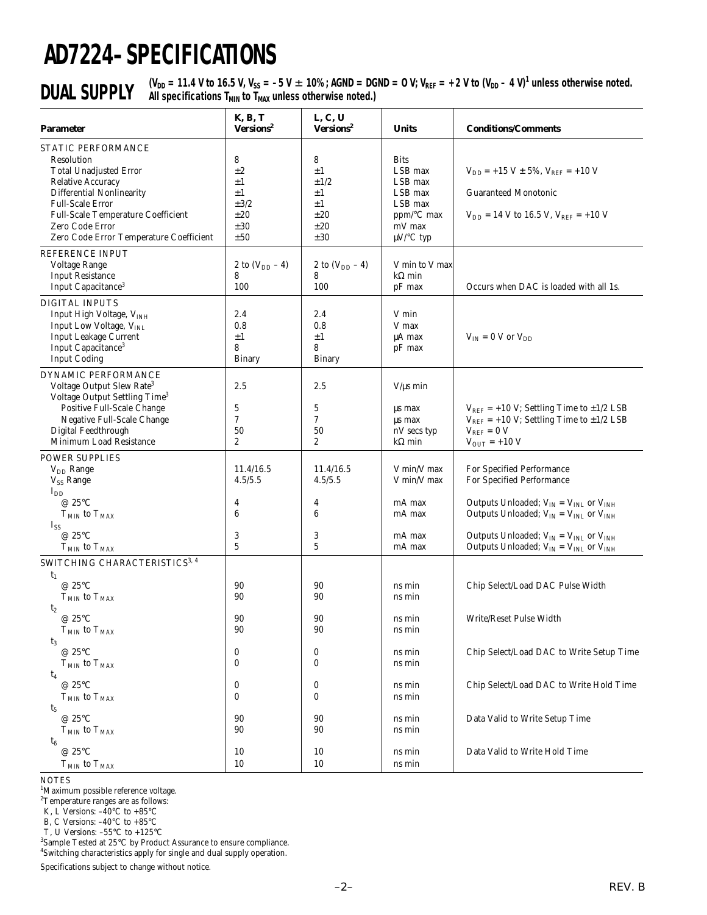# **AD7224–SPECIFICATIONS**

**DUAL SUPPLY** (V<sub>DD</sub> = 11.4 V to 16.5 V, V<sub>SS</sub> = -5 V  $\pm$  10%; AGND = DGND = 0 V; V<sub>REF</sub> = +2 V to (V<sub>DD</sub> – 4 V)<sup>1</sup> unless otherwise noted.<br>**DUAL SUPPLY** All specifications T<sub>MIN</sub> to T<sub>MAX</sub> unless otherwise noted.)

| Parameter                                                                                                                                                                                                                                                        | <b>K, B, T</b><br>Versions <sup>2</sup>                    | L, C, U<br>Versions <sup>2</sup>                                          | <b>Units</b>                                                                                                    | <b>Conditions/Comments</b>                                                                                                                                  |
|------------------------------------------------------------------------------------------------------------------------------------------------------------------------------------------------------------------------------------------------------------------|------------------------------------------------------------|---------------------------------------------------------------------------|-----------------------------------------------------------------------------------------------------------------|-------------------------------------------------------------------------------------------------------------------------------------------------------------|
| STATIC PERFORMANCE<br>Resolution<br><b>Total Unadjusted Error</b><br><b>Relative Accuracy</b><br><b>Differential Nonlinearity</b><br><b>Full-Scale Error</b><br>Full-Scale Temperature Coefficient<br>Zero Code Error<br>Zero Code Error Temperature Coefficient | 8<br>$\pm 2$<br>±1<br>±1<br>$\pm 3/2$<br>±20<br>±30<br>±50 | 8<br>$\pm 1$<br>$\pm 1/2$<br>$\pm 1$<br>$\pm 1$<br>±20<br>$\pm 20$<br>±30 | <b>Bits</b><br>LSB max<br>LSB max<br>LSB max<br>LSB max<br>$ppm$ <sup>o</sup> C max<br>mV max<br>$\mu$ V/°C typ | $V_{DD}$ = +15 V ± 5%, $V_{REF}$ = +10 V<br><b>Guaranteed Monotonic</b><br>$V_{DD}$ = 14 V to 16.5 V, $V_{REF}$ = +10 V                                     |
| <b>REFERENCE INPUT</b><br>Voltage Range<br><b>Input Resistance</b><br>Input Capacitance <sup>3</sup>                                                                                                                                                             | 2 to $(V_{DD} - 4)$<br>8<br>100                            | 2 to $(V_{DD} - 4)$<br>8<br>100                                           | V min to V max<br>$k\Omega$ min<br>pF max                                                                       | Occurs when DAC is loaded with all 1s.                                                                                                                      |
| <b>DIGITAL INPUTS</b><br>Input High Voltage, VINH<br>Input Low Voltage, V <sub>INL</sub><br><b>Input Leakage Current</b><br>Input Capacitance <sup>3</sup><br><b>Input Coding</b>                                                                                | 2.4<br>0.8<br>$\pm 1$<br>8<br><b>Binary</b>                | 2.4<br>0.8<br>$\pm 1$<br>8<br>Binary                                      | V min<br>V max<br>µA max<br>pF max                                                                              | $V_{IN} = 0$ V or $V_{DD}$                                                                                                                                  |
| DYNAMIC PERFORMANCE<br>Voltage Output Slew Rate <sup>3</sup><br>Voltage Output Settling Time <sup>3</sup><br>Positive Full-Scale Change<br>Negative Full-Scale Change<br>Digital Feedthrough<br>Minimum Load Resistance                                          | 2.5<br>5<br>7<br>50<br>2                                   | 2.5<br>$\bf 5$<br>7<br>50<br>2                                            | $V/\mu s$ min<br>us max<br>µs max<br>nV secs typ<br>$k\Omega$ min                                               | $V_{REF}$ = +10 V; Settling Time to $\pm$ 1/2 LSB<br>$V_{REF}$ = +10 V; Settling Time to $\pm$ 1/2 LSB<br>$V_{REF} = 0 V$<br>$V_{\text{OUT}} = +10 V$       |
| <b>POWER SUPPLIES</b><br>$V_{DD}$ Range<br>V <sub>SS</sub> Range                                                                                                                                                                                                 | 11.4/16.5<br>4.5/5.5                                       | 11.4/16.5<br>4.5/5.5                                                      | V min/V max<br>V min/V max                                                                                      | For Specified Performance<br>For Specified Performance                                                                                                      |
| $I_{DD}$<br>@ 25°C<br>$T_{MIN}$ to $T_{MAX}$<br>$I_{SS}$<br>@ 25°C                                                                                                                                                                                               | 4<br>$\boldsymbol{6}$<br>3                                 | 4<br>$\boldsymbol{6}$<br>3                                                | mA max<br>mA max<br>mA max                                                                                      | Outputs Unloaded; $V_{IN} = V_{INL}$ or $V_{INH}$<br>Outputs Unloaded; $V_{IN} = V_{INL}$ or $V_{INH}$<br>Outputs Unloaded; $V_{IN} = V_{INL}$ or $V_{INH}$ |
| $T_{MIN}$ to $T_{MAX}$<br>SWITCHING CHARACTERISTICS <sup>3, 4</sup>                                                                                                                                                                                              | $\overline{5}$                                             | $\overline{5}$                                                            | mA max                                                                                                          | Outputs Unloaded; $V_{IN} = V_{INL}$ or $V_{INH}$                                                                                                           |
| $t_1$<br>@ 25°C<br>$TMIN$ to $TMAX$<br>$t_2$<br>@ $25^{\circ}$ C                                                                                                                                                                                                 | 90<br>90<br>90                                             | 90<br>90<br>90                                                            | ns min<br>ns min<br>ns min                                                                                      | Chip Select/Load DAC Pulse Width<br>Write/Reset Pulse Width                                                                                                 |
| $T_{MIN}$ to $T_{MAX}$<br>$t_3$<br>@ 25°C<br>$T_{MIN}$ to $T_{MAX}$                                                                                                                                                                                              | 90<br>0<br>0                                               | $90\,$<br>0<br>0                                                          | ns min<br>ns min<br>ns min                                                                                      | Chip Select/Load DAC to Write Setup Time                                                                                                                    |
| t <sub>4</sub><br>@ 25°C<br>$T_{MIN}$ to $T_{MAX}$                                                                                                                                                                                                               | 0<br>0                                                     | 0<br>0                                                                    | ns min<br>ns min                                                                                                | Chip Select/Load DAC to Write Hold Time                                                                                                                     |
| t5<br>@ $25^{\circ}$ C<br>$TMIN$ to $TMAX$<br>$t_6$                                                                                                                                                                                                              | 90<br>90                                                   | 90<br>90                                                                  | ns min<br>ns min                                                                                                | Data Valid to Write Setup Time                                                                                                                              |
| @ 25°C<br>$T_{MIN}$ to $T_{MAX}$                                                                                                                                                                                                                                 | 10<br>10                                                   | 10<br>10                                                                  | ns min<br>ns min                                                                                                | Data Valid to Write Hold Time                                                                                                                               |

NOTES

<sup>1</sup>Maximum possible reference voltage.<br><sup>2</sup>Temperature ranges are as follows:

K, L Versions: –40°C to +85°C

B, C Versions: –40°C to +85°C

T, U Versions: –55°C to +125°C

3 Sample Tested at 25°C by Product Assurance to ensure compliance. 4 Switching characteristics apply for single and dual supply operation.

Specifications subject to change without notice.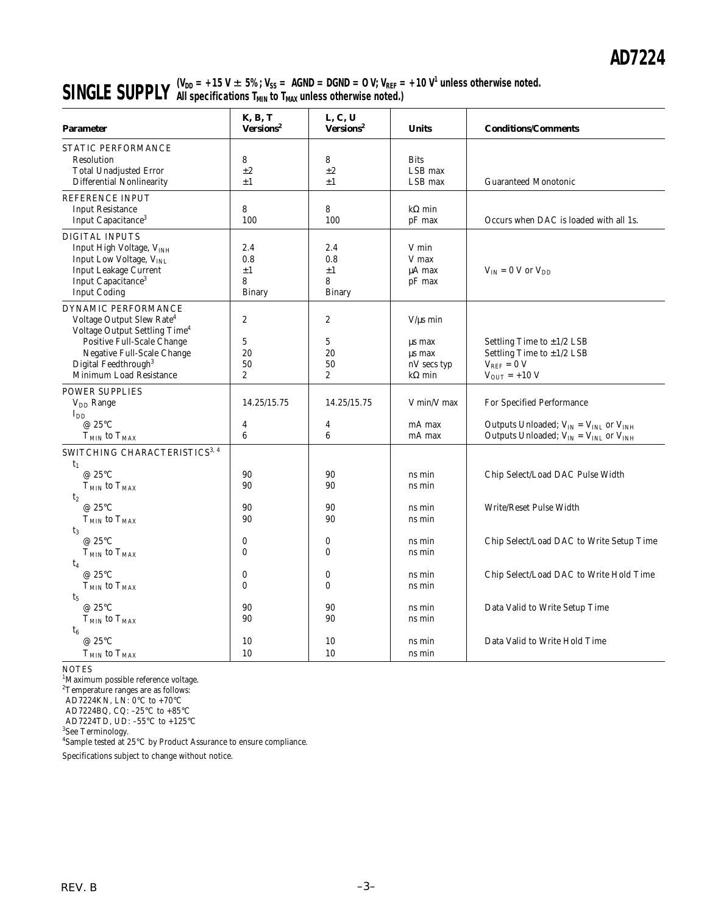# **SINGLE SUPPLY**  $\begin{array}{l} (V_{DD} = +15 \text{ V} \pm 5\%; V_{SS} = \text{AGND} = \text{DGND} = 0 \text{ V}; V_{REF} = +10 \text{ V}^1 \text{ unless otherwise noted.} \end{array}$ **All specifications TMIN to TMAX unless otherwise noted.)**

| <b>Parameter</b>                                                                                                                                                                                                                     | <b>K, B, T</b><br>Versions <sup>2</sup>               | L, C, U<br>Versions <sup>2</sup>                           | <b>Units</b>                                                      | <b>Conditions/Comments</b>                                                                                                          |
|--------------------------------------------------------------------------------------------------------------------------------------------------------------------------------------------------------------------------------------|-------------------------------------------------------|------------------------------------------------------------|-------------------------------------------------------------------|-------------------------------------------------------------------------------------------------------------------------------------|
| STATIC PERFORMANCE<br>Resolution<br><b>Total Unadjusted Error</b><br><b>Differential Nonlinearity</b>                                                                                                                                | 8<br>$\pm 2$<br>$\pm 1$                               | 8<br>$\pm 2$<br>$\pm 1$                                    | <b>Bits</b><br>LSB max<br>LSB max                                 | <b>Guaranteed Monotonic</b>                                                                                                         |
| REFERENCE INPUT<br><b>Input Resistance</b><br>Input Capacitance <sup>3</sup>                                                                                                                                                         | 8<br>100                                              | 8<br>100                                                   | $k\Omega$ min<br>pF max                                           | Occurs when DAC is loaded with all 1s.                                                                                              |
| <b>DIGITAL INPUTS</b><br>Input High Voltage, VINH<br>Input Low Voltage, VINL<br><b>Input Leakage Current</b><br>Input Capacitance <sup>3</sup><br><b>Input Coding</b>                                                                | 2.4<br>0.8<br>$\pm 1$<br>8<br><b>Binary</b>           | 2.4<br>0.8<br>$\pm 1$<br>8<br><b>Binary</b>                | V min<br>V max<br>μA max<br>pF max                                | $V_{IN} = 0$ V or $V_{DD}$                                                                                                          |
| DYNAMIC PERFORMANCE<br>Voltage Output Slew Rate <sup>4</sup><br>Voltage Output Settling Time <sup>4</sup><br>Positive Full-Scale Change<br>Negative Full-Scale Change<br>Digital Feedthrough <sup>3</sup><br>Minimum Load Resistance | $\boldsymbol{2}$<br>5<br>20<br>50<br>$\boldsymbol{2}$ | 2<br>5<br>20<br>50<br>$\overline{c}$                       | $V/\mu s$ min<br>us max<br>us max<br>nV secs typ<br>$k\Omega$ min | Settling Time to $\pm 1/2$ LSB<br>Settling Time to $\pm$ 1/2 LSB<br>$V_{REF} = 0 V$<br>$V_{OUT}$ = +10 V                            |
| <b>POWER SUPPLIES</b><br>$V_{DD}$ Range<br>$I_{DD}$<br>@ 25°C<br>$TMIN$ to $TMAX$                                                                                                                                                    | 14.25/15.75<br>$\overline{4}$<br>6                    | 14.25/15.75<br>4<br>6                                      | V min/V max<br>mA max<br>mA max                                   | For Specified Performance<br>Outputs Unloaded; $V_{IN} = V_{INL}$ or $V_{INH}$<br>Outputs Unloaded; $V_{IN} = V_{INL}$ or $V_{INH}$ |
| SWITCHING CHARACTERISTICS <sup>3, 4</sup><br>$t_1$<br>@ 25°C<br>${\rm T_{MIN}}$ to ${\rm T_{MAX}}$<br>t <sub>2</sub><br>@ 25°C<br>$T_{MIN}$ to $T_{MAX}$                                                                             | 90<br>90<br>90<br>90                                  | 90<br>90<br>90<br>90                                       | ns min<br>ns min<br>ns min<br>ns min                              | Chip Select/Load DAC Pulse Width<br>Write/Reset Pulse Width                                                                         |
| $t_3$<br>@ 25°C<br>$T_{MIN}$ to $T_{MAX}$<br>$t_4$<br>@ 25°C<br>$T_{MIN}$ to $T_{MAX}$<br>$t_5$<br>@ 25°C                                                                                                                            | $\bf{0}$<br>$\bf{0}$<br>$\bf{0}$<br>$\bf{0}$<br>90    | $\bf{0}$<br>$\bf{0}$<br>$\boldsymbol{0}$<br>$\bf{0}$<br>90 | ns min<br>ns min<br>ns min<br>ns min<br>ns min                    | Chip Select/Load DAC to Write Setup Time<br>Chip Select/Load DAC to Write Hold Time<br>Data Valid to Write Setup Time               |
| $T_{\rm MIN}$ to $T_{\rm MAX}$<br>$t_6$<br>@ 25°C<br>$T_{MIN}$ to $T_{MAX}$                                                                                                                                                          | 90<br>10<br>10                                        | 90<br>10<br>10                                             | ns min<br>ns min<br>ns min                                        | Data Valid to Write Hold Time                                                                                                       |

NOTES

<sup>1</sup>Maximum possible reference voltage.

<sup>2</sup>Temperature ranges are as follows:

AD7224KN, LN: 0°C to +70°C

AD7224BQ, CQ: –25°C to +85°C

AD7224TD, UD: –55°C to +125°C

3 See Terminology. 4 Sample tested at 25°C by Product Assurance to ensure compliance.

Specifications subject to change without notice.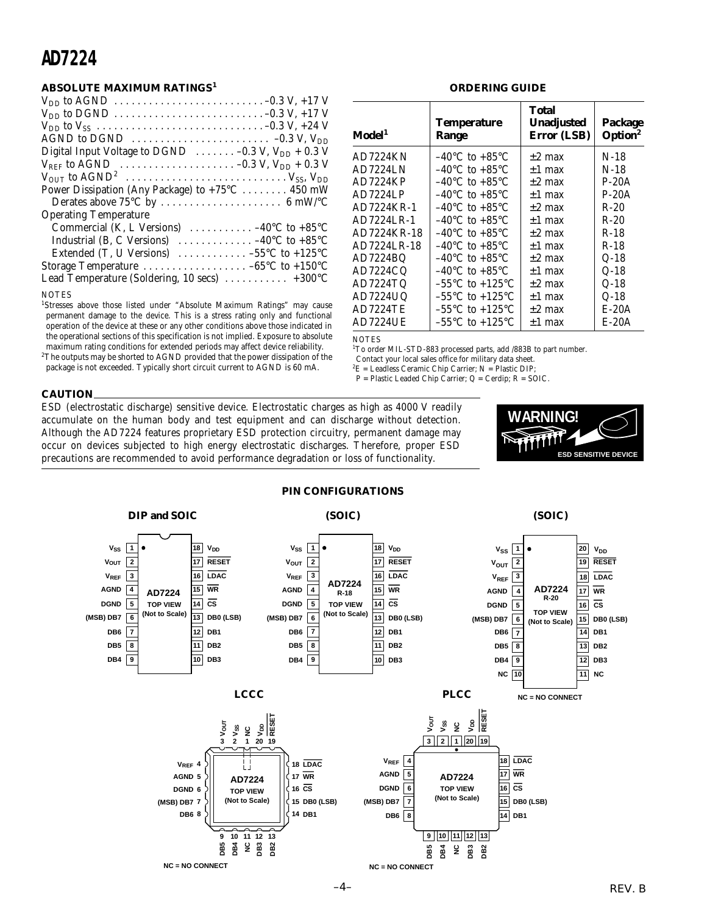# **AD7224**

# **ABSOLUTE MAXIMUM RATINGS<sup>1</sup>**

| $V_{DD}$ to DGND $\ldots \ldots \ldots \ldots \ldots \ldots \ldots \ldots \ldots -0.3$ V, +17 V |
|-------------------------------------------------------------------------------------------------|
|                                                                                                 |
| AGND to DGND $\ldots \ldots \ldots \ldots \ldots \ldots \ldots \ldots \ldots \ldots$            |
| Digital Input Voltage to DGND $\ldots \ldots -0.3$ V, $V_{DD} + 0.3$ V                          |
| $V_{REF}$ to AGND $\ldots \ldots \ldots \ldots \ldots \ldots \ldots -0.3$ V, $V_{DD}$ + 0.3 V   |
|                                                                                                 |
| Power Dissipation (Any Package) to +75°C 450 mW                                                 |
|                                                                                                 |
| <b>Operating Temperature</b>                                                                    |
| Commercial (K, L Versions) $\ldots \ldots \ldots -40$ °C to +85°C                               |
| Industrial (B, C Versions) $\ldots \ldots \ldots \ldots -40^{\circ}C$ to +85°C                  |
| Extended (T, U Versions) $\dots \dots \dots \dots -55^{\circ}C$ to +125°C                       |
|                                                                                                 |
| Lead Temperature (Soldering, 10 secs) $\dots \dots \dots +300^{\circ}C$                         |
|                                                                                                 |

#### **NOTES**

<sup>1</sup>Stresses above those listed under "Absolute Maximum Ratings" may cause permanent damage to the device. This is a stress rating only and functional operation of the device at these or any other conditions above those indicated in the operational sections of this specification is not implied. Exposure to absolute maximum rating conditions for extended periods may affect device reliability.

 $^{2}$ The outputs may be shorted to AGND provided that the power dissipation of the package is not exceeded. Typically short circuit current to AGND is 60 mA.

### **ORDERING GUIDE**

| Model <sup>1</sup> | <b>Temperature</b><br>Range         | Total<br><b>Unadjusted</b><br>Error (LSB) | Package<br>Option <sup>2</sup> |
|--------------------|-------------------------------------|-------------------------------------------|--------------------------------|
| AD7224KN           | $-40^{\circ}$ C to $+85^{\circ}$ C  | $\pm 2$ max                               | $N-18$                         |
| AD7224LN           | $-40^{\circ}$ C to $+85^{\circ}$ C  | $\pm 1$ max                               | $N-18$                         |
| AD7224KP           | $-40^{\circ}$ C to $+85^{\circ}$ C  | $\pm 2$ max                               | $P-20A$                        |
| AD7224LP           | $-40^{\circ}$ C to $+85^{\circ}$ C  | $\pm 1$ max                               | $P-20A$                        |
| AD7224KR-1         | $-40^{\circ}$ C to $+85^{\circ}$ C  | $\pm 2$ max                               | $R-20$                         |
| AD7224LR-1         | $-40^{\circ}$ C to $+85^{\circ}$ C  | $\pm 1$ max                               | $R-20$                         |
| AD7224KR-18        | $-40^{\circ}$ C to $+85^{\circ}$ C  | $\pm 2$ max                               | $R-18$                         |
| AD7224LR-18        | $-40^{\circ}$ C to $+85^{\circ}$ C  | $\pm 1$ max                               | $R-18$                         |
| AD7224BQ           | $-40^{\circ}$ C to $+85^{\circ}$ C  | $\pm 2$ max                               | $Q-18$                         |
| AD7224CQ           | $-40^{\circ}$ C to $+85^{\circ}$ C  | $\pm 1$ max                               | $Q-18$                         |
| AD7224TQ           | $-55^{\circ}$ C to $+125^{\circ}$ C | $\pm 2$ max                               | $Q-18$                         |
| AD7224UQ           | $-55^{\circ}$ C to $+125^{\circ}$ C | $\pm 1$ max                               | $Q-18$                         |
| AD7224TE           | $-55^{\circ}$ C to $+125^{\circ}$ C | $\pm 2$ max                               | $E-20A$                        |
| AD7224UE           | $-55^{\circ}$ C to $+125^{\circ}$ C | $\pm 1$ max                               | $E-20A$                        |
|                    |                                     |                                           |                                |

#### **NOTES**

<sup>1</sup>To order MIL-STD-883 processed parts, add /883B to part number.

Contact your local sales office for military data sheet.

 ${}^{2}E =$  Leadless Ceramic Chip Carrier; N = Plastic DIP;

 $P =$  Plastic Leaded Chip Carrier; Q = Cerdip; R = SOIC.

# **CAUTION**

ESD (electrostatic discharge) sensitive device. Electrostatic charges as high as 4000 V readily accumulate on the human body and test equipment and can discharge without detection. Although the AD7224 features proprietary ESD protection circuitry, permanent damage may occur on devices subjected to high energy electrostatic discharges. Therefore, proper ESD precautions are recommended to avoid performance degradation or loss of functionality.



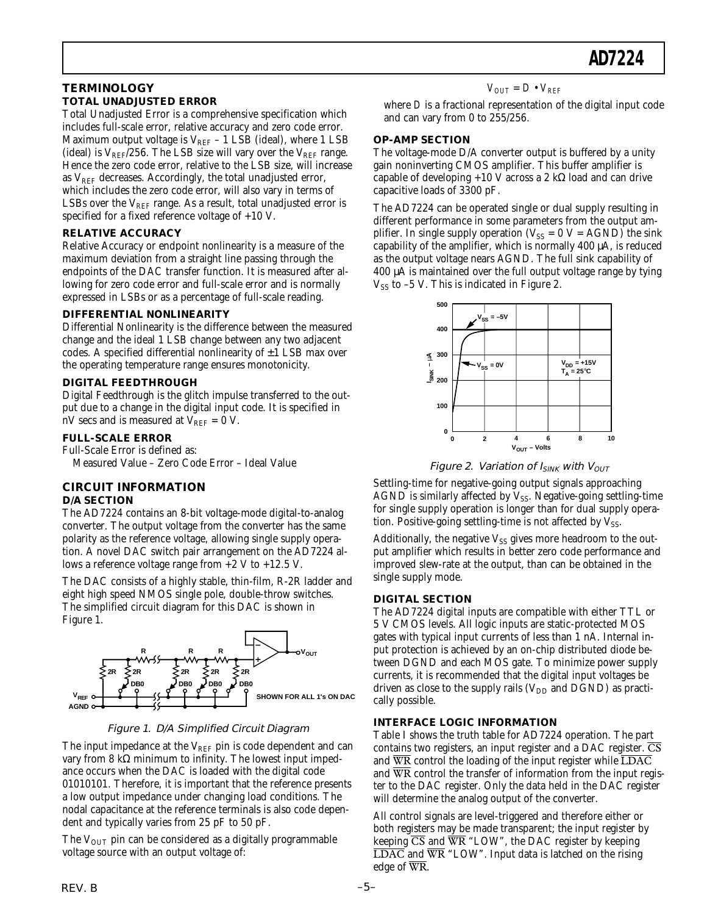# **TERMINOLOGY TOTAL UNADJUSTED ERROR**

Total Unadjusted Error is a comprehensive specification which includes full-scale error, relative accuracy and zero code error. Maximum output voltage is  $V_{REF}$  – 1 LSB (ideal), where 1 LSB (ideal) is  $V_{REF}/256$ . The LSB size will vary over the  $V_{REF}$  range. Hence the zero code error, relative to the LSB size, will increase as  $V_{REF}$  decreases. Accordingly, the total unadjusted error, which includes the zero code error, will also vary in terms of LSBs over the  $V_{REF}$  range. As a result, total unadjusted error is specified for a fixed reference voltage of +10 V.

# **RELATIVE ACCURACY**

Relative Accuracy or endpoint nonlinearity is a measure of the maximum deviation from a straight line passing through the endpoints of the DAC transfer function. It is measured after allowing for zero code error and full-scale error and is normally expressed in LSBs or as a percentage of full-scale reading.

# **DIFFERENTIAL NONLINEARITY**

Differential Nonlinearity is the difference between the measured change and the ideal 1 LSB change between any two adjacent codes. A specified differential nonlinearity of  $\pm 1$  LSB max over the operating temperature range ensures monotonicity.

# **DIGITAL FEEDTHROUGH**

Digital Feedthrough is the glitch impulse transferred to the output due to a change in the digital input code. It is specified in nV secs and is measured at  $V_{REF} = 0$  V.

# **FULL-SCALE ERROR**

Full-Scale Error is defined as:

Measured Value – Zero Code Error – Ideal Value

# **CIRCUIT INFORMATION**

# **D/A SECTION**

The AD7224 contains an 8-bit voltage-mode digital-to-analog converter. The output voltage from the converter has the same polarity as the reference voltage, allowing single supply operation. A novel DAC switch pair arrangement on the AD7224 allows a reference voltage range from +2 V to +12.5 V.

The DAC consists of a highly stable, thin-film, R-2R ladder and eight high speed NMOS single pole, double-throw switches. The simplified circuit diagram for this DAC is shown in Figure 1.



# Figure 1. D/A Simplified Circuit Diagram

The input impedance at the  $V_{REF}$  pin is code dependent and can vary from 8 kΩ minimum to infinity. The lowest input impedance occurs when the DAC is loaded with the digital code 01010101. Therefore, it is important that the reference presents a low output impedance under changing load conditions. The nodal capacitance at the reference terminals is also code dependent and typically varies from 25 pF to 50 pF.

The  $V_{\text{OUT}}$  pin can be considered as a digitally programmable voltage source with an output voltage of:

# $V_{OUT} = D \cdot V_{REF}$

where *D* is a fractional representation of the digital input code and can vary from 0 to 255/256.

# **OP-AMP SECTION**

The voltage-mode D/A converter output is buffered by a unity gain noninverting CMOS amplifier. This buffer amplifier is capable of developing +10 V across a 2 kΩ load and can drive capacitive loads of 3300 pF.

The AD7224 can be operated single or dual supply resulting in different performance in some parameters from the output amplifier. In single supply operation ( $V_{SS} = 0$  V = AGND) the sink capability of the amplifier, which is normally 400 µA, is reduced as the output voltage nears AGND. The full sink capability of 400 µA is maintained over the full output voltage range by tying  $V_{SS}$  to -5 V. This is indicated in Figure 2.



Figure 2. Variation of  $I_{SINK}$  with  $V_{OUT}$ 

Settling-time for negative-going output signals approaching AGND is similarly affected by  $V_{SS}$ . Negative-going settling-time for single supply operation is longer than for dual supply operation. Positive-going settling-time is not affected by  $V_{SS}$ .

Additionally, the negative  $V_{SS}$  gives more headroom to the output amplifier which results in better zero code performance and improved slew-rate at the output, than can be obtained in the single supply mode.

# **DIGITAL SECTION**

The AD7224 digital inputs are compatible with either TTL or 5 V CMOS levels. All logic inputs are static-protected MOS gates with typical input currents of less than 1 nA. Internal input protection is achieved by an on-chip distributed diode between DGND and each MOS gate. To minimize power supply currents, it is recommended that the digital input voltages be driven as close to the supply rails  $(V_{DD}$  and  $DGND)$  as practically possible.

# **INTERFACE LOGIC INFORMATION**

Table I shows the truth table for AD7224 operation. The part contains two registers, an input register and a DAC register.  $\overline{\text{CS}}$ and  $\overline{\text{WR}}$  control the loading of the input register while  $\overline{\text{LDAC}}$ and  $\overline{WR}$  control the transfer of information from the input register to the DAC register. Only the data held in the DAC register will determine the analog output of the converter.

All control signals are level-triggered and therefore either or both registers may be made transparent; the input register by keeping  $\overline{\text{CS}}$  and  $\overline{\text{WR}}$  "LOW", the DAC register by keeping  $\overline{\text{LDAC}}$  and  $\overline{\text{WR}}$  "LOW". Input data is latched on the rising edge of WR.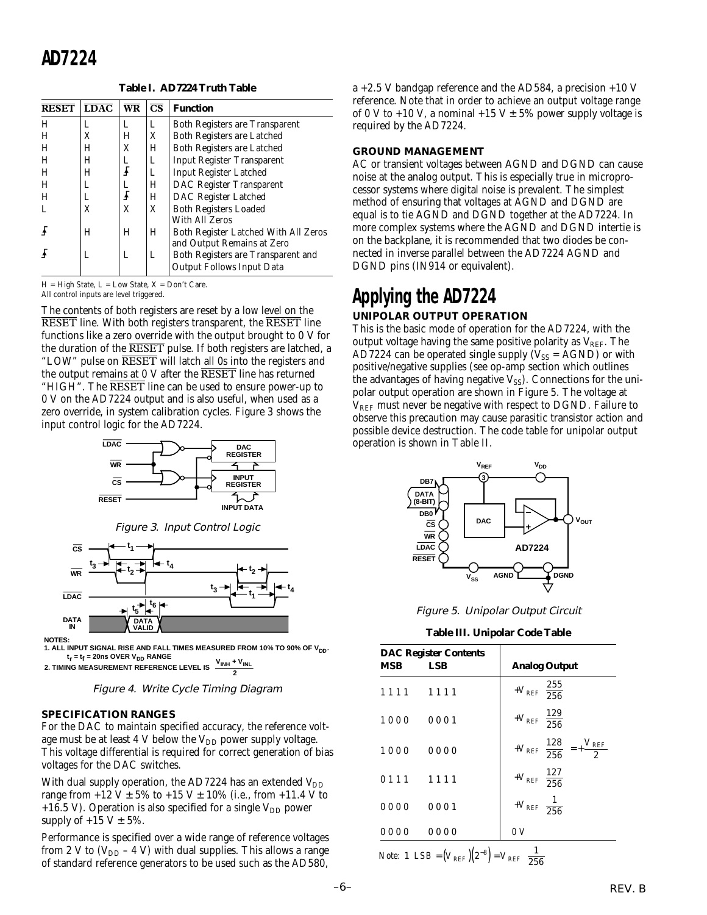# **AD7224**

**Table I. AD7224 Truth Table**

| <b>RESET</b> | $\overline{L}$ DAC | $\overline{\text{WR}}$ | $\overline{\text{CS}}$ | <b>Function</b>                       |
|--------------|--------------------|------------------------|------------------------|---------------------------------------|
| Н            | L                  | L                      | L                      | <b>Both Registers are Transparent</b> |
| H            | X                  | H                      | X                      | <b>Both Registers are Latched</b>     |
| H            | Н                  | X                      | H                      | Both Registers are Latched            |
| н            | Н                  | L                      | L                      | Input Register Transparent            |
| H            | Н                  | f                      | L                      | <b>Input Register Latched</b>         |
| H            | L                  | r<br>T                 | Н                      | DAC Register Transparent              |
| H            | L                  |                        | H                      | DAC Register Latched                  |
|              | X                  | X                      | X                      | <b>Both Registers Loaded</b>          |
|              |                    |                        |                        | With All Zeros                        |
|              | Н                  | Н                      | H                      | Both Register Latched With All Zeros  |
|              |                    |                        |                        | and Output Remains at Zero            |
|              | L                  | L                      | L                      | Both Registers are Transparent and    |
|              |                    |                        |                        | <b>Output Follows Input Data</b>      |

 $H = High State, L = Low State, X = Don't Care.$ 

All control inputs are level triggered.

The contents of both registers are reset by a low level on the RESET line. With both registers transparent, the RESET line functions like a zero override with the output brought to 0 V for the duration of the RESET pulse. If both registers are latched, a "LOW" pulse on RESET will latch all 0s into the registers and the output remains at 0 V after the RESET line has returned "HIGH". The RESET line can be used to ensure power-up to 0 V on the AD7224 output and is also useful, when used as a zero override, in system calibration cycles. Figure 3 shows the input control logic for the AD7224.



Figure 3. Input Control Logic



**NOTES:**

1. ALL INPUT SIGNAL RISE AND FALL TIMES MEASURED FROM 10% TO 90% OF V<sub>DD</sub>.  $t_r = t_f = 20$ ns OVER V<sub>DD</sub> RANGE

**2. TIMING MEASUREMENT REFERENCE LEVEL IS 2**

Figure 4. Write Cycle Timing Diagram

# **SPECIFICATION RANGES**

For the DAC to maintain specified accuracy, the reference voltage must be at least 4 V below the  $V_{DD}$  power supply voltage. This voltage differential is required for correct generation of bias voltages for the DAC switches.

With dual supply operation, the AD7224 has an extended  $V_{DD}$ range from  $+12$  V  $\pm$  5% to  $+15$  V  $\pm$  10% (i.e., from  $+11.4$  V to +16.5 V). Operation is also specified for a single  $V_{DD}$  power supply of  $+15$  V  $\pm$  5%.

Performance is specified over a wide range of reference voltages from 2 V to  $(V_{DD} - 4 V)$  with dual supplies. This allows a range of standard reference generators to be used such as the AD580,

a +2.5 V bandgap reference and the AD584, a precision +10 V reference. Note that in order to achieve an output voltage range of 0 V to +10 V, a nominal +15 V  $\pm$  5% power supply voltage is required by the AD7224.

# **GROUND MANAGEMENT**

AC or transient voltages between AGND and DGND can cause noise at the analog output. This is especially true in microprocessor systems where digital noise is prevalent. The simplest method of ensuring that voltages at AGND and DGND are equal is to tie AGND and DGND together at the AD7224. In more complex systems where the AGND and DGND intertie is on the backplane, it is recommended that two diodes be connected in inverse parallel between the AD7224 AGND and DGND pins (IN914 or equivalent).

# **Applying the AD7224 UNIPOLAR OUTPUT OPERATION**

# This is the basic mode of operation for the AD7224, with the output voltage having the same positive polarity as  $V_{REF}$ . The AD7224 can be operated single supply  $(V_{SS} = AGND)$  or with positive/negative supplies (see op-amp section which outlines the advantages of having negative  $V_{SS}$ ). Connections for the unipolar output operation are shown in Figure 5. The voltage at  $V<sub>REF</sub>$  must never be negative with respect to DGND. Failure to observe this precaution may cause parasitic transistor action and possible device destruction. The code table for unipolar output operation is shown in Table II.



Figure 5. Unipolar Output Circuit

**Table III. Unipolar Code Table**

| MSB                                                                | <b>DAC Register Contents</b><br>LSB | <b>Analog Output</b>                                        |
|--------------------------------------------------------------------|-------------------------------------|-------------------------------------------------------------|
|                                                                    | 1111 1111                           | $+V_{REF}\left(\frac{255}{256}\right)$                      |
| 1000                                                               | 0001                                | $+V_{REF}\left(\frac{129}{256}\right)$                      |
| 1000                                                               | 0000                                | $+V_{REF}\left(\frac{128}{256}\right) = +\frac{V_{REF}}{2}$ |
| 0111                                                               | 1111                                | $+V_{REF}\left(\frac{127}{256}\right)$                      |
| 0000                                                               | 0001                                | $+V_{REF}\left(\frac{1}{256}\right)$                        |
| 0000                                                               | 0000                                | $\theta V$                                                  |
| <i>Note</i> : 1 $LSB = (V_{REF})(2^{-8}) = V_{REF}(\frac{1}{256})$ |                                     |                                                             |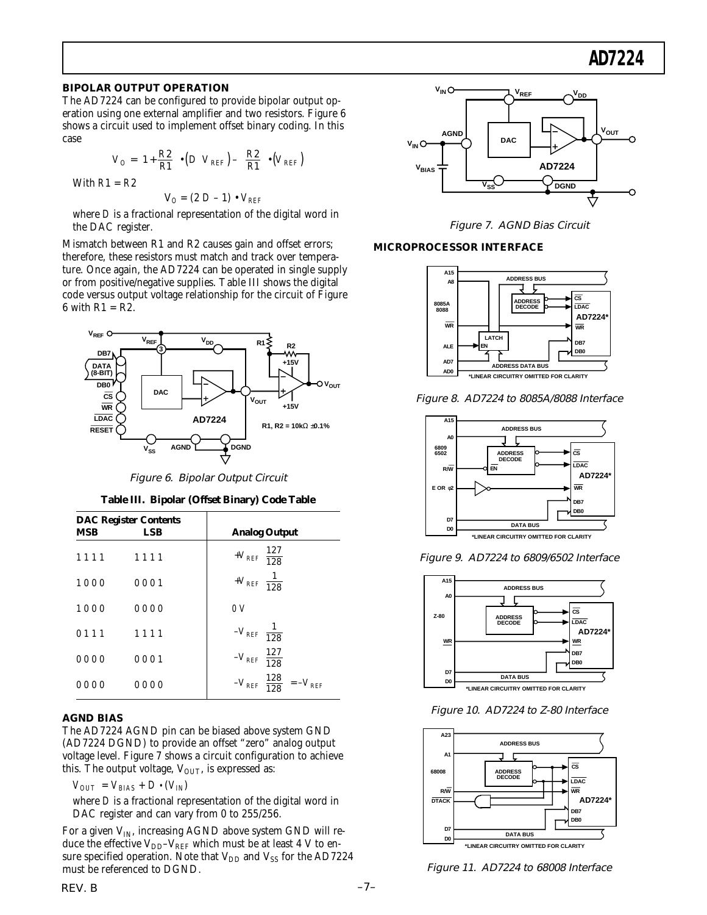# **AD7224**

## **BIPOLAR OUTPUT OPERATION**

The AD7224 can be configured to provide bipolar output operation using one external amplifier and two resistors. Figure 6 shows a circuit used to implement offset binary coding. In this case

$$
V_O = \left(1 + \frac{R2}{R1}\right) \bullet \left(D \ V_{REF}\right) - \left(\frac{R2}{R1}\right) \bullet \left(V_{REF}\right)
$$
  
With  $R1 = R2$ 

$$
V_O = (2 D - 1) \cdot V_{REF}
$$

where *D* is a fractional representation of the digital word in the DAC register.

Mismatch between R1 and R2 causes gain and offset errors; therefore, these resistors must match and track over temperature. Once again, the AD7224 can be operated in single supply or from positive/negative supplies. Table III shows the digital code versus output voltage relationship for the circuit of Figure 6 with  $R1 = R2$ .



Figure 6. Bipolar Output Circuit

|  |  | Table III. Bipolar (Offset Binary) Code Table |  |  |
|--|--|-----------------------------------------------|--|--|
|--|--|-----------------------------------------------|--|--|

| <b>MSB</b> | <b>DAC Register Contents</b><br>LSB | <b>Analog Output</b>                              |
|------------|-------------------------------------|---------------------------------------------------|
| 1111       | 1111                                | $+V_{REF}\left(\frac{127}{128}\right)$            |
| 1000       | 0001                                | $+V_{REF}\left(\frac{1}{128}\right)$              |
| 1000       | 0000                                | $\theta V$                                        |
| 0 1 1 1    | 1111                                | $-V_{REF}\left(\frac{1}{128}\right)$              |
| 0000       | 0001                                | $-V_{REF}\left(\frac{127}{128}\right)$            |
| 0000       | 0000                                | $-V_{REF}\left(\frac{128}{128}\right) = -V_{REF}$ |

# **AGND BIAS**

The AD7224 AGND pin can be biased above system GND (AD7224 DGND) to provide an offset "zero" analog output voltage level. Figure 7 shows a circuit configuration to achieve this. The output voltage,  $V_{\text{OUT}}$ , is expressed as:

 $V_{OUT} = V_{BIAS} + D \cdot (V_{IN})$ 

where *D* is a fractional representation of the digital word in DAC register and can vary from 0 to 255/256.

For a given  $V_{IN}$ , increasing AGND above system GND will reduce the effective  $V_{DD}-V_{REF}$  which must be at least 4 V to ensure specified operation. Note that  $V_{DD}$  and  $V_{SS}$  for the AD7224 must be referenced to DGND.



Figure 7. AGND Bias Circuit

# **MICROPROCESSOR INTERFACE**



Figure 8. AD7224 to 8085A/8088 Interface



Figure 9. AD7224 to 6809/6502 Interface



Figure 10. AD7224 to Z-80 Interface



Figure 11. AD7224 to 68008 Interface